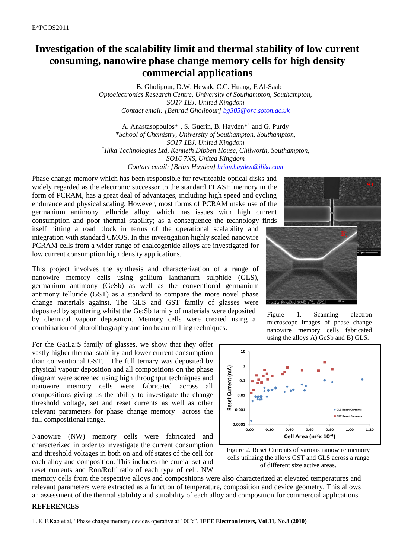## **Investigation of the scalability limit and thermal stability of low current consuming, nanowire phase change memory cells for high density commercial applications**

B. Gholipour, D.W. Hewak, C.C. Huang, F.Al-Saab *Optoelectronics Research Centre, University of Southampton, Southampton, SO17 1BJ, United Kingdom Contact email: [Behrad Gholipour] [bg305@orc.soton.ac.uk](mailto:bg305@orc.soton.ac.uk)*

A. Anastasopoulos<sup>\*†</sup>, S. Guerin, B. Hayden<sup>\*†</sup> and G. Purdy *\*School of Chemistry, University of Southampton, Southampton, SO17 1BJ, United Kingdom + Ilika Technologies Ltd, Kenneth Dibben House, Chilworth, Southampton, SO16 7NS, United Kingdom Contact email: [Brian Hayden] [brian.hayden@ilika.com](mailto:brian.hayden@ilika.com)*

Phase change memory which has been responsible for rewriteable optical disks and widely regarded as the electronic successor to the standard FLASH memory in the form of PCRAM, has a great deal of advantages, including high speed and cycling endurance and physical scaling. However, most forms of PCRAM make use of the germanium antimony telluride alloy, which has issues with high current consumption and poor thermal stability; as a consequence the technology finds itself hitting a road block in terms of the operational scalability and integration with standard CMOS. In this investigation highly scaled nanowire PCRAM cells from a wider range of chalcogenide alloys are investigated for low current consumption high density applications.

This project involves the synthesis and characterization of a range of nanowire memory cells using gallium lanthanum sulphide (GLS), germanium antimony (GeSb) as well as the conventional germanium antimony telluride (GST) as a standard to compare the more novel phase change materials against. The GLS and GST family of glasses were deposited by sputtering whilst the Ge:Sb family of materials were deposited by chemical vapour deposition. Memory cells were created using a combination of photolithography and ion beam milling techniques.

For the Ga:La:S family of glasses, we show that they offer vastly higher thermal stability and lower current consumption than conventional GST. The full ternary was deposited by physical vapour deposition and all compositions on the phase diagram were screened using high throughput techniques and nanowire memory cells were fabricated across all compositions giving us the ability to investigate the change threshold voltage, set and reset currents as well as other relevant parameters for phase change memory across the full compositional range.

Nanowire (NW) memory cells were fabricated and characterized in order to investigate the current consumption and threshold voltages in both on and off states of the cell for each alloy and composition. This includes the crucial set and reset currents and Ron/Roff ratio of each type of cell. NW

memory cells from the respective alloys and compositions were also characterized at elevated temperatures and relevant parameters were extracted as a function of temperature, composition and device geometry. This allows an assessment of the thermal stability and suitability of each alloy and composition for commercial applications.

## **REFERENCES**



Figure 1. Scanning electron microscope images of phase change nanowire memory cells fabricated using the alloys A) GeSb and B) GLS.



Figure 2. Reset Currents of various nanowire memory cells utilizing the alloys GST and GLS across a range of different size active areas.

<sup>1.</sup> K.F.Kao et al, "Phase change memory devices operative at 100°c", IEEE Electron letters, Vol 31, No.8 (2010)